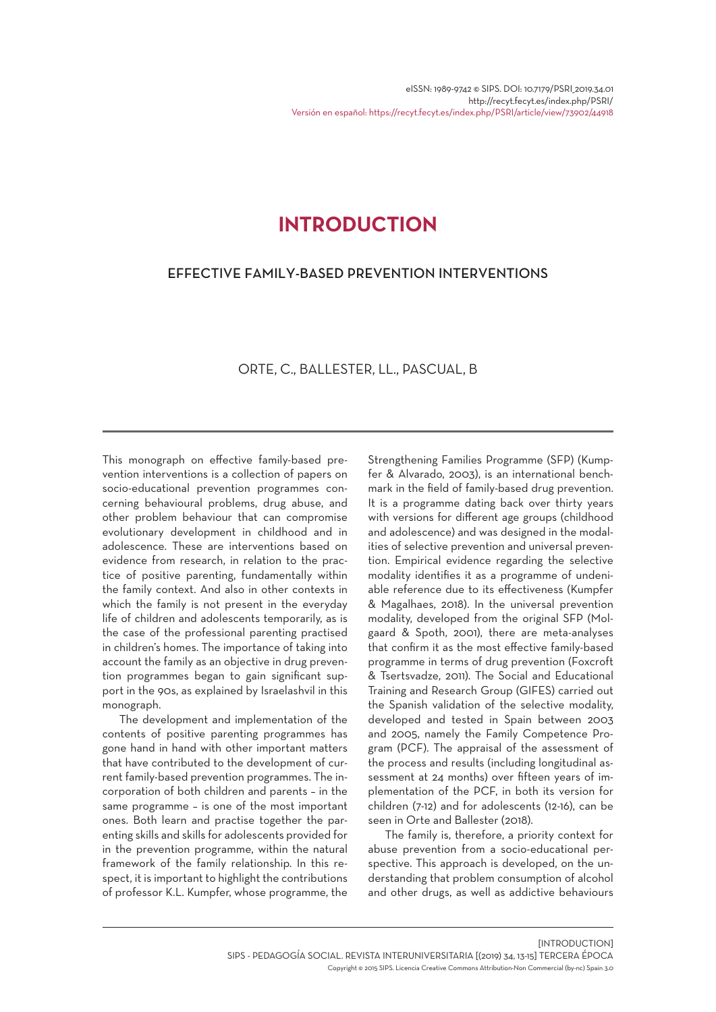# **INTRODUCTION**

### EFFECTIVE FAMILY-BASED PREVENTION INTERVENTIONS

## ORTE, C., BALLESTER, LL., PASCUAL, B

This monograph on effective family-based prevention interventions is a collection of papers on socio-educational prevention programmes concerning behavioural problems, drug abuse, and other problem behaviour that can compromise evolutionary development in childhood and in adolescence. These are interventions based on evidence from research, in relation to the practice of positive parenting, fundamentally within the family context. And also in other contexts in which the family is not present in the everyday life of children and adolescents temporarily, as is the case of the professional parenting practised in children's homes. The importance of taking into account the family as an objective in drug prevention programmes began to gain significant support in the 90s, as explained by Israelashvil in this monograph.

The development and implementation of the contents of positive parenting programmes has gone hand in hand with other important matters that have contributed to the development of current family-based prevention programmes. The incorporation of both children and parents – in the same programme – is one of the most important ones. Both learn and practise together the parenting skills and skills for adolescents provided for in the prevention programme, within the natural framework of the family relationship. In this respect, it is important to highlight the contributions of professor K.L. Kumpfer, whose programme, the

Strengthening Families Programme (SFP) (Kumpfer & Alvarado, 2003), is an international benchmark in the field of family-based drug prevention. It is a programme dating back over thirty years with versions for different age groups (childhood and adolescence) and was designed in the modalities of selective prevention and universal prevention. Empirical evidence regarding the selective modality identifies it as a programme of undeniable reference due to its effectiveness (Kumpfer & Magalhaes, 2018). In the universal prevention modality, developed from the original SFP (Molgaard & Spoth, 2001), there are meta-analyses that confirm it as the most effective family-based programme in terms of drug prevention (Foxcroft & Tsertsvadze, 2011). The Social and Educational Training and Research Group (GIFES) carried out the Spanish validation of the selective modality, developed and tested in Spain between 2003 and 2005, namely the Family Competence Program (PCF). The appraisal of the assessment of the process and results (including longitudinal assessment at 24 months) over fifteen years of implementation of the PCF, in both its version for children (7-12) and for adolescents (12-16), can be seen in Orte and Ballester (2018).

The family is, therefore, a priority context for abuse prevention from a socio-educational perspective. This approach is developed, on the understanding that problem consumption of alcohol and other drugs, as well as addictive behaviours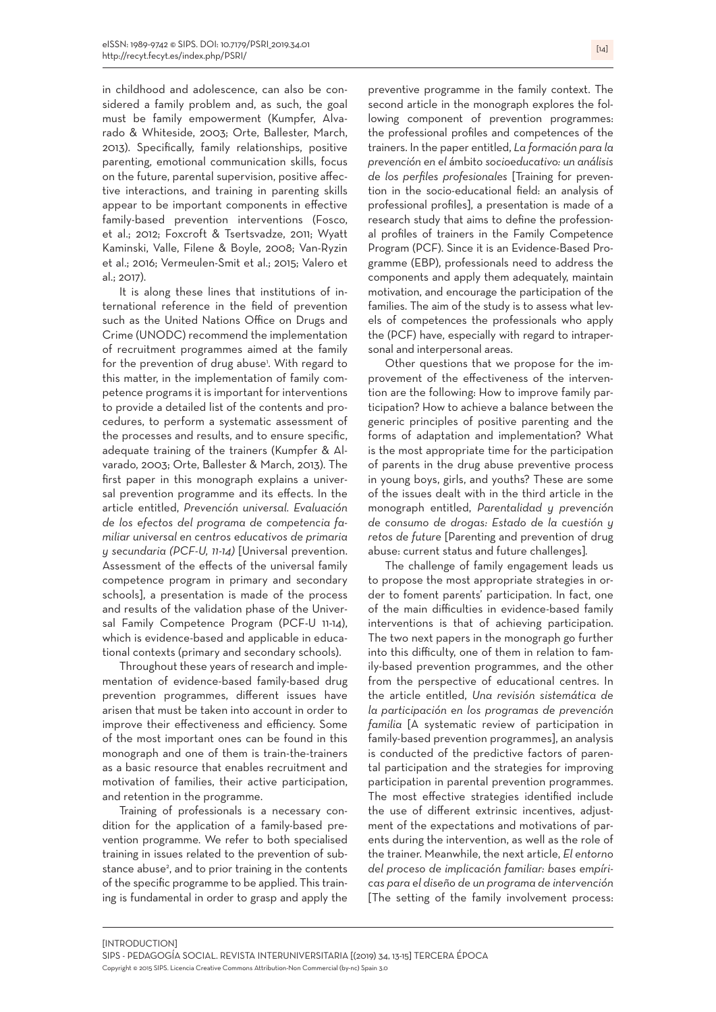in childhood and adolescence, can also be considered a family problem and, as such, the goal must be family empowerment (Kumpfer, Alvarado & Whiteside, 2003; Orte, Ballester, March, 2013). Specifically, family relationships, positive parenting, emotional communication skills, focus on the future, parental supervision, positive affective interactions, and training in parenting skills appear to be important components in effective family-based prevention interventions (Fosco, et al.; 2012; Foxcroft & Tsertsvadze, 2011; Wyatt Kaminski, Valle, Filene & Boyle, 2008; Van-Ryzin et al.; 2016; Vermeulen-Smit et al.; 2015; Valero et al.; 2017).

It is along these lines that institutions of international reference in the field of prevention such as the United Nations Office on Drugs and Crime (UNODC) recommend the implementation of recruitment programmes aimed at the family for the prevention of drug abuse'. With regard to this matter, in the implementation of family competence programs it is important for interventions to provide a detailed list of the contents and procedures, to perform a systematic assessment of the processes and results, and to ensure specific, adequate training of the trainers (Kumpfer & Alvarado, 2003; Orte, Ballester & March, 2013). The first paper in this monograph explains a universal prevention programme and its effects. In the article entitled, *Prevención universal. Evaluación de los efectos del programa de competencia familiar universal en centros educativos de primaria y secundaria (PCF-U, 11-14)* [Universal prevention. Assessment of the effects of the universal family competence program in primary and secondary schools], a presentation is made of the process and results of the validation phase of the Universal Family Competence Program (PCF-U 11-14), which is evidence-based and applicable in educational contexts (primary and secondary schools).

Throughout these years of research and implementation of evidence-based family-based drug prevention programmes, different issues have arisen that must be taken into account in order to improve their effectiveness and efficiency. Some of the most important ones can be found in this monograph and one of them is train-the-trainers as a basic resource that enables recruitment and motivation of families, their active participation, and retention in the programme.

Training of professionals is a necessary condition for the application of a family-based prevention programme. We refer to both specialised training in issues related to the prevention of substance abuse<sup>2</sup>, and to prior training in the contents of the specific programme to be applied. This training is fundamental in order to grasp and apply the

preventive programme in the family context. The second article in the monograph explores the following component of prevention programmes: the professional profiles and competences of the trainers. In the paper entitled, *La formación para la prevención en el* ámbito *socioeducativo: un análisis de los perfiles profesionales* [Training for prevention in the socio-educational field: an analysis of professional profiles], a presentation is made of a research study that aims to define the professional profiles of trainers in the Family Competence Program (PCF). Since it is an Evidence-Based Programme (EBP), professionals need to address the components and apply them adequately, maintain motivation, and encourage the participation of the families. The aim of the study is to assess what levels of competences the professionals who apply the (PCF) have, especially with regard to intrapersonal and interpersonal areas.

Other questions that we propose for the improvement of the effectiveness of the intervention are the following: How to improve family participation? How to achieve a balance between the generic principles of positive parenting and the forms of adaptation and implementation? What is the most appropriate time for the participation of parents in the drug abuse preventive process in young boys, girls, and youths? These are some of the issues dealt with in the third article in the monograph entitled, *Parentalidad y prevención de consumo de drogas: Estado de la cuestión y retos de future* [Parenting and prevention of drug abuse: current status and future challenges]*.*

The challenge of family engagement leads us to propose the most appropriate strategies in order to foment parents' participation. In fact, one of the main difficulties in evidence-based family interventions is that of achieving participation. The two next papers in the monograph go further into this difficulty, one of them in relation to family-based prevention programmes, and the other from the perspective of educational centres. In the article entitled, *Una revisión sistemática de la participación en los programas de prevención familia* [A systematic review of participation in family-based prevention programmes], an analysis is conducted of the predictive factors of parental participation and the strategies for improving participation in parental prevention programmes. The most effective strategies identified include the use of different extrinsic incentives, adjustment of the expectations and motivations of parents during the intervention, as well as the role of the trainer. Meanwhile, the next article, *El entorno del proceso de implicación familiar: bases empíricas para el diseño de un programa de intervención* [The setting of the family involvement process: